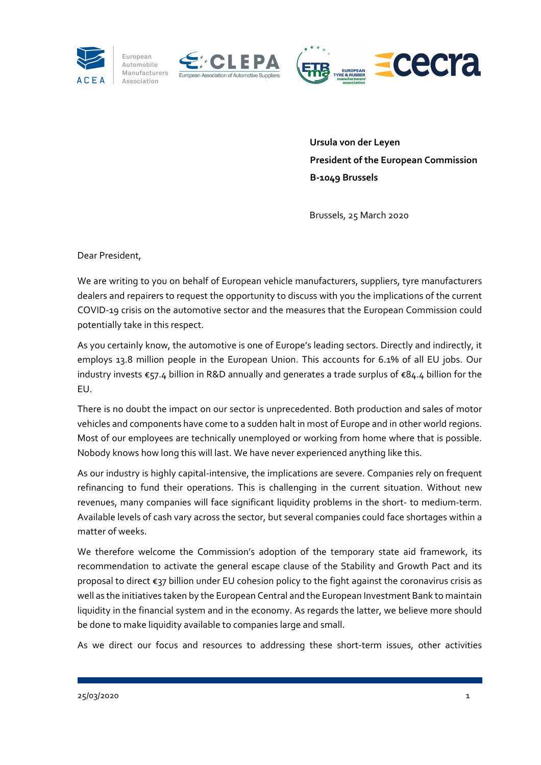

European

Automobile Association







 **Ursula von der Leyen President of the European Commission B‐1049 Brussels**

Brussels, 25 March 2020

Dear President,

We are writing to you on behalf of European vehicle manufacturers, suppliers, tyre manufacturers dealers and repairers to request the opportunity to discuss with you the implications of the current COVID‐19 crisis on the automotive sector and the measures that the European Commission could potentially take in this respect.

As you certainly know, the automotive is one of Europe's leading sectors. Directly and indirectly, it employs 13.8 million people in the European Union. This accounts for 6.1% of all EU jobs. Our industry invests €57.4 billion in R&D annually and generates a trade surplus of €84.4 billion for the EU.

There is no doubt the impact on our sector is unprecedented. Both production and sales of motor vehicles and components have come to a sudden halt in most of Europe and in other world regions. Most of our employees are technically unemployed or working from home where that is possible. Nobody knows how long this will last. We have never experienced anything like this.

As our industry is highly capital‐intensive, the implications are severe. Companies rely on frequent refinancing to fund their operations. This is challenging in the current situation. Without new revenues, many companies will face significant liquidity problems in the short‐ to medium‐term. Available levels of cash vary across the sector, but several companies could face shortages within a matter of weeks.

We therefore welcome the Commission's adoption of the temporary state aid framework, its recommendation to activate the general escape clause of the Stability and Growth Pact and its proposal to direct €37 billion under EU cohesion policy to the fight against the coronavirus crisis as well as the initiatives taken by the European Central and the European Investment Bank to maintain liquidity in the financial system and in the economy. As regards the latter, we believe more should be done to make liquidity available to companies large and small.

As we direct our focus and resources to addressing these short-term issues, other activities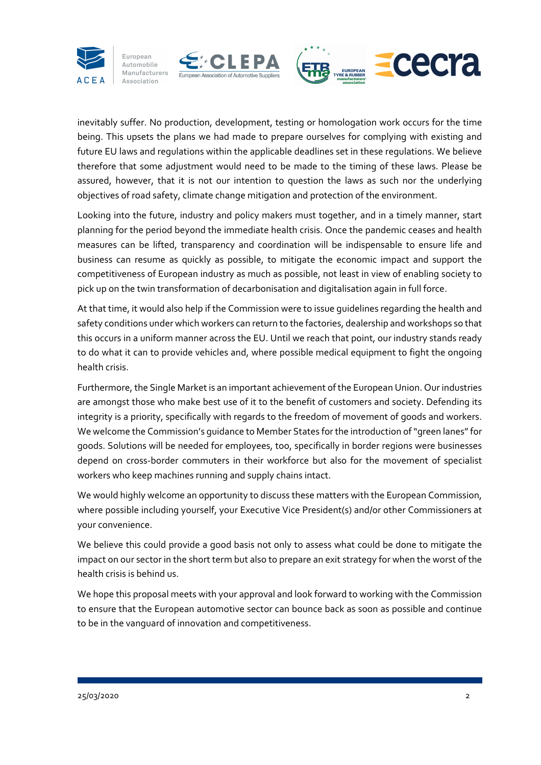

European Automobile

Association







inevitably suffer. No production, development, testing or homologation work occurs for the time being. This upsets the plans we had made to prepare ourselves for complying with existing and future EU laws and regulations within the applicable deadlines set in these regulations. We believe therefore that some adjustment would need to be made to the timing of these laws. Please be assured, however, that it is not our intention to question the laws as such nor the underlying objectives of road safety, climate change mitigation and protection of the environment.

Looking into the future, industry and policy makers must together, and in a timely manner, start planning for the period beyond the immediate health crisis. Once the pandemic ceases and health measures can be lifted, transparency and coordination will be indispensable to ensure life and business can resume as quickly as possible, to mitigate the economic impact and support the competitiveness of European industry as much as possible, not least in view of enabling society to pick up on the twin transformation of decarbonisation and digitalisation again in full force.

At that time, it would also help if the Commission were to issue guidelines regarding the health and safety conditions under which workers can return to the factories, dealership and workshops so that this occurs in a uniform manner across the EU. Until we reach that point, our industry stands ready to do what it can to provide vehicles and, where possible medical equipment to fight the ongoing health crisis.

Furthermore, the Single Market is an important achievement of the European Union. Our industries are amongst those who make best use of it to the benefit of customers and society. Defending its integrity is a priority, specifically with regards to the freedom of movement of goods and workers. We welcome the Commission's quidance to Member States for the introduction of "green lanes" for goods. Solutions will be needed for employees, too, specifically in border regions were businesses depend on cross‐border commuters in their workforce but also for the movement of specialist workers who keep machines running and supply chains intact.

We would highly welcome an opportunity to discuss these matters with the European Commission, where possible including yourself, your Executive Vice President(s) and/or other Commissioners at your convenience.

We believe this could provide a good basis not only to assess what could be done to mitigate the impact on our sector in the short term but also to prepare an exit strategy for when the worst of the health crisis is behind us.

We hope this proposal meets with your approval and look forward to working with the Commission to ensure that the European automotive sector can bounce back as soon as possible and continue to be in the vanguard of innovation and competitiveness.